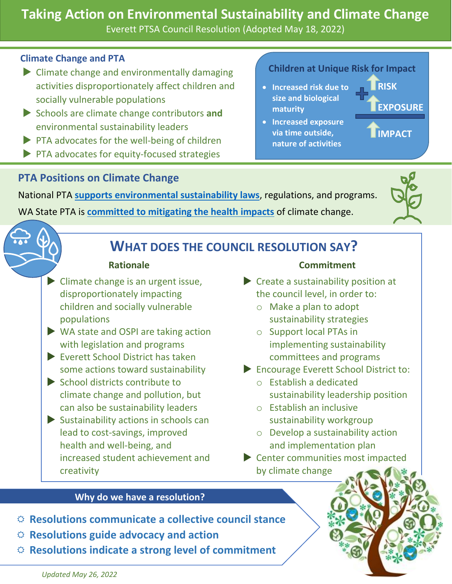# **Taking Action on Environmental Sustainability and Climate Change**

Everett PTSA Council Resolution (Adopted May 18, 2022)

### **Climate Change and PTA**

- $\triangleright$  Climate change and environmentally damaging activities disproportionately affect children and socially vulnerable populations
- Schools are climate change contributors **and** environmental sustainability leaders
- PTA advocates for the well-being of children
- PTA advocates for equity-focused strategies

## **PTA Positions on Climate Change**

## **Children at Unique Risk for Impact**

• **Increased risk due to size and biological maturity**

**RISK EXPOSURE**

**IMPACT**

• **Increased exposure via time outside, nature of activities**

National PTA **[supports environmental sustainability laws](https://www.pta.org/home/advocacy/ptas-positions/Individual-Position-Statements/Position-Statement-Environmental-Health-Remediation-Sustainability-and-Climate-Change)**, regulations, and programs. WA State PTA is **[committed to mitigating the health impacts](https://www.wastatepta.org/wp-content/uploads/2020/10/WSPTA-Resolution-11.28-Mitigating-Effects-of-Climate-Change-2020.pdf)** of climate change.



## **WHAT DOES THE COUNCIL RESOLUTION SAY?**

### **Rationale**

- $\blacktriangleright$  Climate change is an urgent issue, disproportionately impacting children and socially vulnerable populations
- **► WA state and OSPI are taking action** with legislation and programs
- Everett School District has taken some actions toward sustainability
- School districts contribute to climate change and pollution, but can also be sustainability leaders
- $\blacktriangleright$  Sustainability actions in schools can lead to cost-savings, improved health and well-being, and increased student achievement and creativity

### **Commitment**

- Create a sustainability position at the council level, in order to:
	- o Make a plan to adopt sustainability strategies
	- o Support local PTAs in implementing sustainability committees and programs
- ▶ Encourage Everett School District to:
	- o Establish a dedicated sustainability leadership position
	- o Establish an inclusive sustainability workgroup
	- o Develop a sustainability action and implementation plan
- Center communities most impacted by climate change

### **Why do we have a resolution?**

- **Resolutions communicate a collective council stance**
- **Resolutions guide advocacy and action**
- **Resolutions indicate a strong level of commitment**